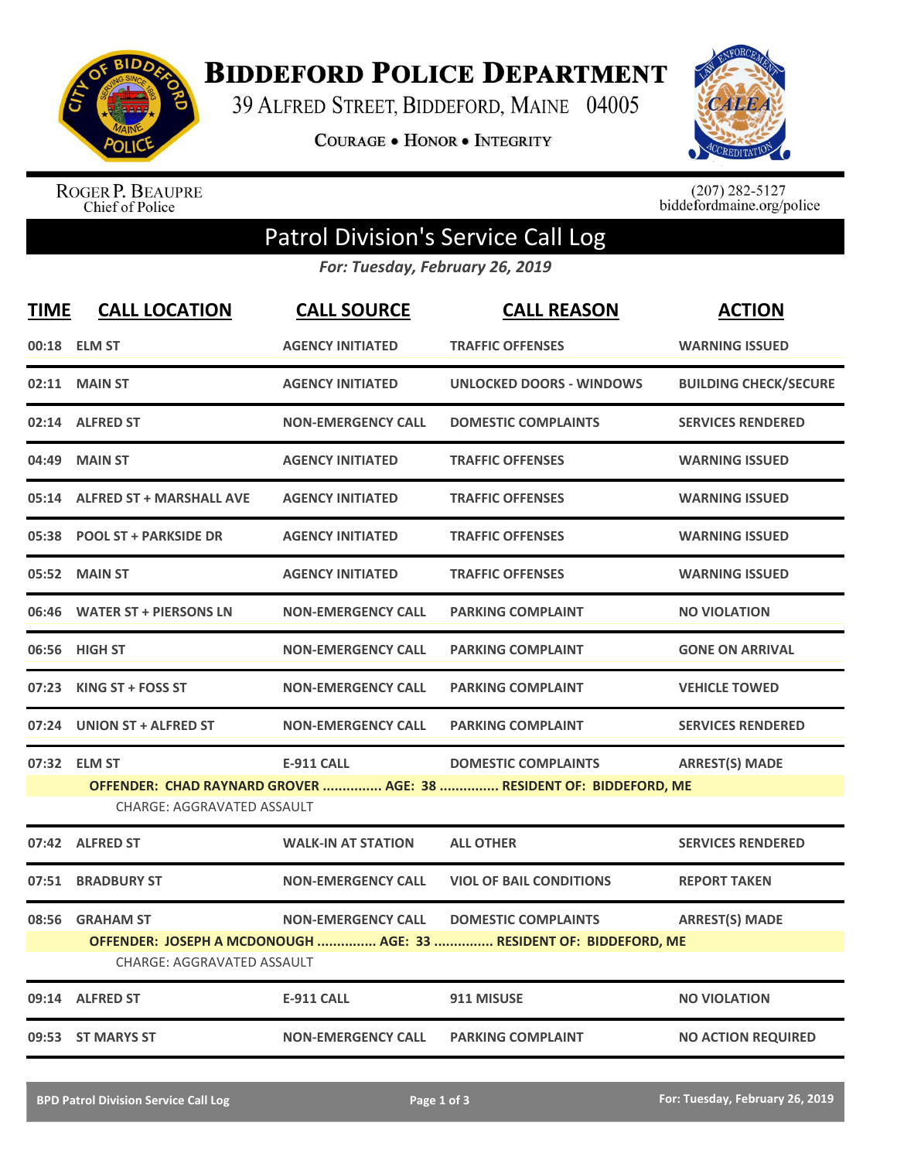

**BIDDEFORD POLICE DEPARTMENT** 

39 ALFRED STREET, BIDDEFORD, MAINE 04005

**COURAGE . HONOR . INTEGRITY** 



ROGER P. BEAUPRE<br>Chief of Police

 $(207)$  282-5127<br>biddefordmaine.org/police

## Patrol Division's Service Call Log

*For: Tuesday, February 26, 2019*

| <b>TIME</b>                                                                                             | <b>CALL LOCATION</b>            | <b>CALL SOURCE</b>        | <b>CALL REASON</b>              | <b>ACTION</b>                |  |  |
|---------------------------------------------------------------------------------------------------------|---------------------------------|---------------------------|---------------------------------|------------------------------|--|--|
|                                                                                                         | 00:18 ELM ST                    | <b>AGENCY INITIATED</b>   | <b>TRAFFIC OFFENSES</b>         | <b>WARNING ISSUED</b>        |  |  |
|                                                                                                         | 02:11 MAIN ST                   | <b>AGENCY INITIATED</b>   | <b>UNLOCKED DOORS - WINDOWS</b> | <b>BUILDING CHECK/SECURE</b> |  |  |
|                                                                                                         | 02:14 ALFRED ST                 | <b>NON-EMERGENCY CALL</b> | <b>DOMESTIC COMPLAINTS</b>      | <b>SERVICES RENDERED</b>     |  |  |
| 04:49                                                                                                   | <b>MAIN ST</b>                  | <b>AGENCY INITIATED</b>   | <b>TRAFFIC OFFENSES</b>         | <b>WARNING ISSUED</b>        |  |  |
| 05:14                                                                                                   | <b>ALFRED ST + MARSHALL AVE</b> | <b>AGENCY INITIATED</b>   | <b>TRAFFIC OFFENSES</b>         | <b>WARNING ISSUED</b>        |  |  |
|                                                                                                         | 05:38 POOL ST + PARKSIDE DR     | <b>AGENCY INITIATED</b>   | <b>TRAFFIC OFFENSES</b>         | <b>WARNING ISSUED</b>        |  |  |
|                                                                                                         | 05:52 MAIN ST                   | <b>AGENCY INITIATED</b>   | <b>TRAFFIC OFFENSES</b>         | <b>WARNING ISSUED</b>        |  |  |
| 06:46                                                                                                   | <b>WATER ST + PIERSONS LN</b>   | <b>NON-EMERGENCY CALL</b> | <b>PARKING COMPLAINT</b>        | <b>NO VIOLATION</b>          |  |  |
| 06:56                                                                                                   | <b>HIGH ST</b>                  | <b>NON-EMERGENCY CALL</b> | <b>PARKING COMPLAINT</b>        | <b>GONE ON ARRIVAL</b>       |  |  |
|                                                                                                         | 07:23 KING ST + FOSS ST         | <b>NON-EMERGENCY CALL</b> | <b>PARKING COMPLAINT</b>        | <b>VEHICLE TOWED</b>         |  |  |
| 07:24                                                                                                   | UNION ST + ALFRED ST            | <b>NON-EMERGENCY CALL</b> | <b>PARKING COMPLAINT</b>        | <b>SERVICES RENDERED</b>     |  |  |
|                                                                                                         | 07:32 ELM ST                    | <b>E-911 CALL</b>         | <b>DOMESTIC COMPLAINTS</b>      | <b>ARREST(S) MADE</b>        |  |  |
| OFFENDER: CHAD RAYNARD GROVER  AGE: 38  RESIDENT OF: BIDDEFORD, ME<br><b>CHARGE: AGGRAVATED ASSAULT</b> |                                 |                           |                                 |                              |  |  |
|                                                                                                         | 07:42 ALFRED ST                 | <b>WALK-IN AT STATION</b> | <b>ALL OTHER</b>                | <b>SERVICES RENDERED</b>     |  |  |
| 07:51                                                                                                   | <b>BRADBURY ST</b>              | <b>NON-EMERGENCY CALL</b> | <b>VIOL OF BAIL CONDITIONS</b>  | <b>REPORT TAKEN</b>          |  |  |
| 08:56                                                                                                   | <b>GRAHAM ST</b>                | <b>NON-EMERGENCY CALL</b> | <b>DOMESTIC COMPLAINTS</b>      | <b>ARREST(S) MADE</b>        |  |  |
| OFFENDER: JOSEPH A MCDONOUGH  AGE: 33  RESIDENT OF: BIDDEFORD, ME<br><b>CHARGE: AGGRAVATED ASSAULT</b>  |                                 |                           |                                 |                              |  |  |
|                                                                                                         | 09:14 ALFRED ST                 | <b>E-911 CALL</b>         | 911 MISUSE                      | <b>NO VIOLATION</b>          |  |  |
|                                                                                                         | 09:53 ST MARYS ST               | <b>NON-EMERGENCY CALL</b> | <b>PARKING COMPLAINT</b>        | <b>NO ACTION REQUIRED</b>    |  |  |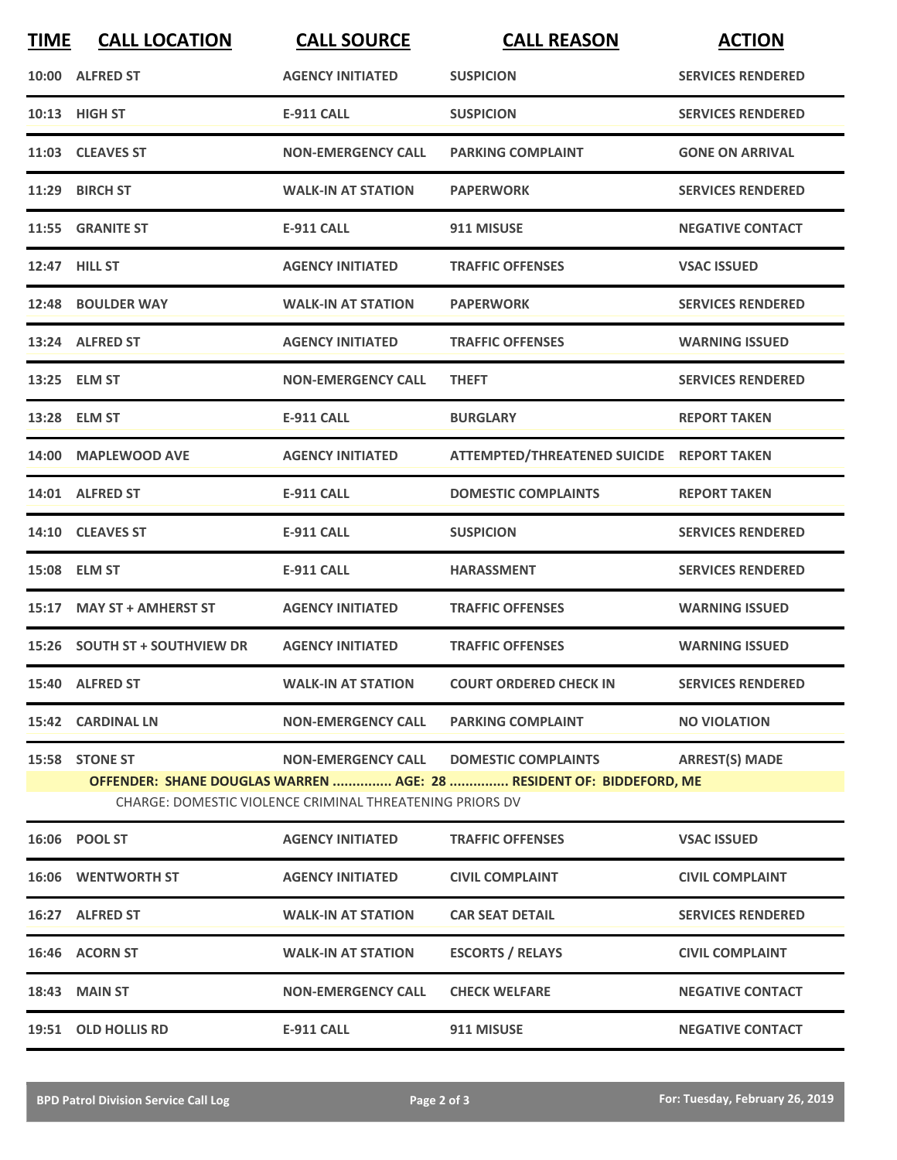| <b>TIME</b> | <b>CALL LOCATION</b>                                                                                                                                                                                                                  | <b>CALL SOURCE</b>        | <b>CALL REASON</b>                        | <b>ACTION</b>            |  |  |
|-------------|---------------------------------------------------------------------------------------------------------------------------------------------------------------------------------------------------------------------------------------|---------------------------|-------------------------------------------|--------------------------|--|--|
| 10:00       | <b>ALFRED ST</b>                                                                                                                                                                                                                      | <b>AGENCY INITIATED</b>   | <b>SUSPICION</b>                          | <b>SERVICES RENDERED</b> |  |  |
|             | 10:13 HIGH ST                                                                                                                                                                                                                         | E-911 CALL                | <b>SUSPICION</b>                          | <b>SERVICES RENDERED</b> |  |  |
|             | 11:03 CLEAVES ST                                                                                                                                                                                                                      | <b>NON-EMERGENCY CALL</b> | <b>PARKING COMPLAINT</b>                  | <b>GONE ON ARRIVAL</b>   |  |  |
| 11:29       | <b>BIRCH ST</b>                                                                                                                                                                                                                       | <b>WALK-IN AT STATION</b> | <b>PAPERWORK</b>                          | <b>SERVICES RENDERED</b> |  |  |
|             | 11:55 GRANITE ST                                                                                                                                                                                                                      | <b>E-911 CALL</b>         | 911 MISUSE                                | <b>NEGATIVE CONTACT</b>  |  |  |
|             | 12:47 HILL ST                                                                                                                                                                                                                         | <b>AGENCY INITIATED</b>   | <b>TRAFFIC OFFENSES</b>                   | <b>VSAC ISSUED</b>       |  |  |
| 12:48       | <b>BOULDER WAY</b>                                                                                                                                                                                                                    | <b>WALK-IN AT STATION</b> | <b>PAPERWORK</b>                          | <b>SERVICES RENDERED</b> |  |  |
|             | 13:24 ALFRED ST                                                                                                                                                                                                                       | <b>AGENCY INITIATED</b>   | <b>TRAFFIC OFFENSES</b>                   | <b>WARNING ISSUED</b>    |  |  |
|             | 13:25 ELM ST                                                                                                                                                                                                                          | <b>NON-EMERGENCY CALL</b> | <b>THEFT</b>                              | <b>SERVICES RENDERED</b> |  |  |
|             | 13:28 ELM ST                                                                                                                                                                                                                          | <b>E-911 CALL</b>         | <b>BURGLARY</b>                           | <b>REPORT TAKEN</b>      |  |  |
| 14:00       | <b>MAPLEWOOD AVE</b>                                                                                                                                                                                                                  | <b>AGENCY INITIATED</b>   | ATTEMPTED/THREATENED SUICIDE REPORT TAKEN |                          |  |  |
|             | 14:01 ALFRED ST                                                                                                                                                                                                                       | <b>E-911 CALL</b>         | <b>DOMESTIC COMPLAINTS</b>                | <b>REPORT TAKEN</b>      |  |  |
|             | 14:10 CLEAVES ST                                                                                                                                                                                                                      | <b>E-911 CALL</b>         | <b>SUSPICION</b>                          | <b>SERVICES RENDERED</b> |  |  |
| 15:08       | <b>ELM ST</b>                                                                                                                                                                                                                         | <b>E-911 CALL</b>         | <b>HARASSMENT</b>                         | <b>SERVICES RENDERED</b> |  |  |
| 15:17       | <b>MAY ST + AMHERST ST</b>                                                                                                                                                                                                            | <b>AGENCY INITIATED</b>   | <b>TRAFFIC OFFENSES</b>                   | <b>WARNING ISSUED</b>    |  |  |
| 15:26       | <b>SOUTH ST + SOUTHVIEW DR</b>                                                                                                                                                                                                        | <b>AGENCY INITIATED</b>   | <b>TRAFFIC OFFENSES</b>                   | <b>WARNING ISSUED</b>    |  |  |
|             | 15:40 ALFRED ST                                                                                                                                                                                                                       | <b>WALK-IN AT STATION</b> | <b>COURT ORDERED CHECK IN</b>             | <b>SERVICES RENDERED</b> |  |  |
|             | 15:42 CARDINAL LN                                                                                                                                                                                                                     | <b>NON-EMERGENCY CALL</b> | <b>PARKING COMPLAINT</b>                  | <b>NO VIOLATION</b>      |  |  |
|             | <b>ARREST(S) MADE</b><br>15:58 STONE ST<br><b>NON-EMERGENCY CALL</b><br><b>DOMESTIC COMPLAINTS</b><br>OFFENDER: SHANE DOUGLAS WARREN  AGE: 28  RESIDENT OF: BIDDEFORD, ME<br>CHARGE: DOMESTIC VIOLENCE CRIMINAL THREATENING PRIORS DV |                           |                                           |                          |  |  |
|             | 16:06 POOL ST                                                                                                                                                                                                                         | <b>AGENCY INITIATED</b>   | <b>TRAFFIC OFFENSES</b>                   | <b>VSAC ISSUED</b>       |  |  |
|             | 16:06 WENTWORTH ST                                                                                                                                                                                                                    | <b>AGENCY INITIATED</b>   | <b>CIVIL COMPLAINT</b>                    | <b>CIVIL COMPLAINT</b>   |  |  |
|             | 16:27 ALFRED ST                                                                                                                                                                                                                       | <b>WALK-IN AT STATION</b> | <b>CAR SEAT DETAIL</b>                    | <b>SERVICES RENDERED</b> |  |  |
|             | 16:46 ACORN ST                                                                                                                                                                                                                        | <b>WALK-IN AT STATION</b> | <b>ESCORTS / RELAYS</b>                   | <b>CIVIL COMPLAINT</b>   |  |  |
|             | <b>18:43 MAIN ST</b>                                                                                                                                                                                                                  | <b>NON-EMERGENCY CALL</b> | <b>CHECK WELFARE</b>                      | <b>NEGATIVE CONTACT</b>  |  |  |
|             | 19:51 OLD HOLLIS RD                                                                                                                                                                                                                   | E-911 CALL                | 911 MISUSE                                | <b>NEGATIVE CONTACT</b>  |  |  |